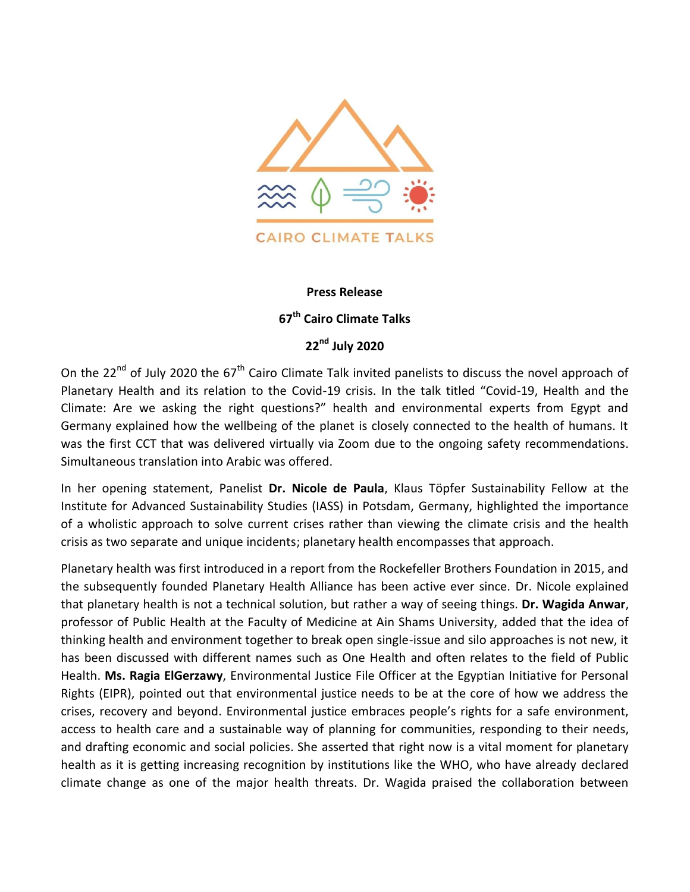

## **Press Release**

## **67 th Cairo Climate Talks**

## **22nd July 2020**

On the 22<sup>nd</sup> of July 2020 the 67<sup>th</sup> Cairo Climate Talk invited panelists to discuss the novel approach of Planetary Health and its relation to the Covid-19 crisis. In the talk titled "Covid-19, Health and the Climate: Are we asking the right questions?" health and environmental experts from Egypt and Germany explained how the wellbeing of the planet is closely connected to the health of humans. It was the first CCT that was delivered virtually via Zoom due to the ongoing safety recommendations. Simultaneous translation into Arabic was offered.

In her opening statement, Panelist **Dr. Nicole de Paula**, Klaus Töpfer Sustainability Fellow at the Institute for Advanced Sustainability Studies (IASS) in Potsdam, Germany, highlighted the importance of a wholistic approach to solve current crises rather than viewing the climate crisis and the health crisis as two separate and unique incidents; planetary health encompasses that approach.

Planetary health was first introduced in a report from the Rockefeller Brothers Foundation in 2015, and the subsequently founded Planetary Health Alliance has been active ever since. Dr. Nicole explained that planetary health is not a technical solution, but rather a way of seeing things. **Dr. Wagida Anwar**, professor of Public Health at the Faculty of Medicine at Ain Shams University, added that the idea of thinking health and environment together to break open single-issue and silo approaches is not new, it has been discussed with different names such as One Health and often relates to the field of Public Health. **Ms. Ragia ElGerzawy**, Environmental Justice File Officer at the Egyptian Initiative for Personal Rights (EIPR), pointed out that environmental justice needs to be at the core of how we address the crises, recovery and beyond. Environmental justice embraces people's rights for a safe environment, access to health care and a sustainable way of planning for communities, responding to their needs, and drafting economic and social policies. She asserted that right now is a vital moment for planetary health as it is getting increasing recognition by institutions like the WHO, who have already declared climate change as one of the major health threats. Dr. Wagida praised the collaboration between